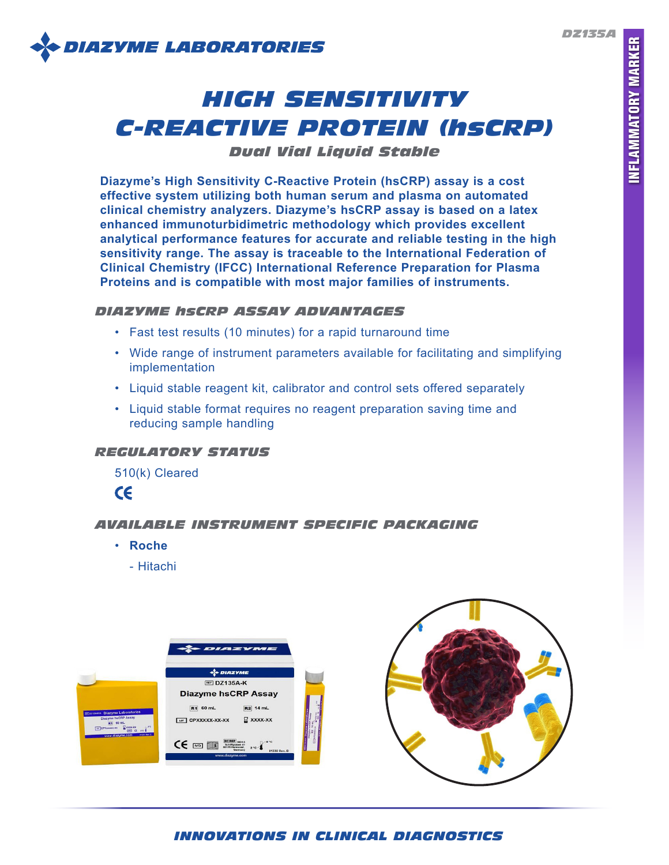*DZ135A*



# *HIGH SENSITIVITY C-REACTIVE PROTEIN (hsCRP)*

*Dual Vial Liquid Stable*

**Diazyme's High Sensitivity C-Reactive Protein (hsCRP) assay is a cost effective system utilizing both human serum and plasma on automated clinical chemistry analyzers. Diazyme's hsCRP assay is based on a latex enhanced immunoturbidimetric methodology which provides excellent analytical performance features for accurate and reliable testing in the high sensitivity range. The assay is traceable to the International Federation of Clinical Chemistry (IFCC) International Reference Preparation for Plasma Proteins and is compatible with most major families of instruments.**

## *DIAZYME hsCRP ASSAY ADVANTAGES*

- Fast test results (10 minutes) for a rapid turnaround time
- Wide range of instrument parameters available for facilitating and simplifying implementation
- Liquid stable reagent kit, calibrator and control sets offered separately
- Liquid stable format requires no reagent preparation saving time and reducing sample handling

## *REGULATORY STATUS*

510(k) Cleared

 $c\epsilon$ 

# *AVAILABLE INSTRUMENT SPECIFIC PACKAGING*

- **Roche**
	- Hitachi



# *INNOVATIONS IN CLINICAL DIAGNOSTICS*